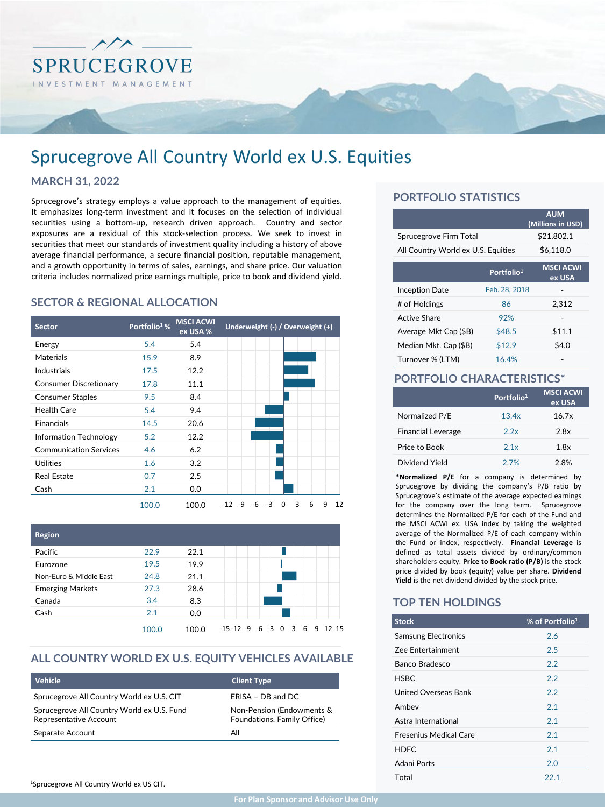

# Sprucegrove All Country World ex U.S. Equities

## **MARCH 31, 2022**

Sprucegrove's strategy employs a value approach to the management of equities. It emphasizes long-term investment and it focuses on the selection of individual securities using a bottom-up, research driven approach. Country and sector exposures are a residual of this stock-selection process. We seek to invest in securities that meet our standards of investment quality including a history of above average financial performance, a secure financial position, reputable management, and a growth opportunity in terms of sales, earnings, and share price. Our valuation criteria includes normalized price earnings multiple, price to book and dividend yield.

# **SECTOR & REGIONAL ALLOCATION**

| <b>Sector</b>                 | Portfolio <sup>1</sup> % | <b>MSCI ACWI</b><br>ex USA % | Underweight (-) / Overweight (+)                  |
|-------------------------------|--------------------------|------------------------------|---------------------------------------------------|
| Energy                        | 5.4                      | 5.4                          |                                                   |
| Materials                     | 15.9                     | 8.9                          |                                                   |
| Industrials                   | 17.5                     | 12.2                         |                                                   |
| <b>Consumer Discretionary</b> | 17.8                     | 11.1                         |                                                   |
| <b>Consumer Staples</b>       | 9.5                      | 8.4                          |                                                   |
| <b>Health Care</b>            | 5.4                      | 9.4                          |                                                   |
| <b>Financials</b>             | 14.5                     | 20.6                         |                                                   |
| Information Technology        | 5.2                      | 12.2                         |                                                   |
| <b>Communication Services</b> | 4.6                      | 6.2                          |                                                   |
| <b>Utilities</b>              | 1.6                      | 3.2                          |                                                   |
| <b>Real Estate</b>            | 0.7                      | 2.5                          |                                                   |
| Cash                          | 2.1                      | 0.0                          |                                                   |
|                               | 100.0                    | 100.0                        | 3<br>-3<br>6<br>-6<br>0<br>9<br>12<br>$-12$<br>-9 |



#### **ALL COUNTRY WORLD EX U.S. EQUITY VEHICLES AVAILABLE**

| Vehicle                                                              | <b>Client Type</b>                                       |
|----------------------------------------------------------------------|----------------------------------------------------------|
| Sprucegrove All Country World ex U.S. CIT                            | ERISA - DB and DC                                        |
| Sprucegrove All Country World ex U.S. Fund<br>Representative Account | Non-Pension (Endowments &<br>Foundations, Family Office) |
| Separate Account                                                     | All                                                      |

# **PORTFOLIO STATISTICS**

|                                    |                        | <b>AUM</b><br>(Millions in USD) |  |  |  |  |
|------------------------------------|------------------------|---------------------------------|--|--|--|--|
| Sprucegrove Firm Total             |                        | \$21,802.1                      |  |  |  |  |
| All Country World ex U.S. Equities |                        | \$6,118.0                       |  |  |  |  |
|                                    | Portfolio <sup>1</sup> | <b>MSCI ACWI</b><br>ex USA      |  |  |  |  |
| <b>Inception Date</b>              | Feb. 28, 2018          |                                 |  |  |  |  |
| # of Holdings                      | 86                     | 2.312                           |  |  |  |  |
| Active Share                       | 92%                    |                                 |  |  |  |  |
| Average Mkt Cap (\$B)              | \$48.5                 | \$11.1                          |  |  |  |  |
| Median Mkt. Cap (\$B)              | \$12.9                 | \$4.0                           |  |  |  |  |
| Turnover % (LTM)                   | 16.4%                  |                                 |  |  |  |  |

# **PORTFOLIO CHARACTERISTICS\***

|                           | Portfolio <sup>1</sup> | <b>MSCI ACWI</b><br>ex USA |
|---------------------------|------------------------|----------------------------|
| Normalized P/E            | 13.4x                  | 16.7x                      |
| <b>Financial Leverage</b> | 2.2x                   | 2.8x                       |
| Price to Book             | 2.1x                   | 1.8x                       |
| Dividend Yield            | 27%                    | 2.8%                       |

**\*Normalized P/E** for a company is determined by Sprucegrove by dividing the company's P/B ratio by Sprucegrove's estimate of the average expected earnings for the company over the long term. Sprucegrove determines the Normalized P/E for each of the Fund and the MSCI ACWI ex. USA index by taking the weighted average of the Normalized P/E of each company within the Fund or index, respectively. **Financial Leverage** is defined as total assets divided by ordinary/common shareholders equity. **Price to Book ratio (P/B)** is the stock price divided by book (equity) value per share. **Dividend Yield** is the net dividend divided by the stock price.

#### **TOP TEN HOLDINGS**

| <b>Stock</b>                  | % of Portfolio <sup>1</sup> |
|-------------------------------|-----------------------------|
| <b>Samsung Electronics</b>    | 2.6                         |
| <b>Zee Entertainment</b>      | 2.5                         |
| Banco Bradesco                | 2.2                         |
| <b>HSBC</b>                   | 2.2                         |
| United Overseas Bank          | 2.2                         |
| Ambey                         | 2.1                         |
| Astra International           | 2.1                         |
| <b>Fresenius Medical Care</b> | 2.1                         |
| HDFC                          | 2.1                         |
| Adani Ports                   | 2.0                         |
| Total                         | 22.1                        |